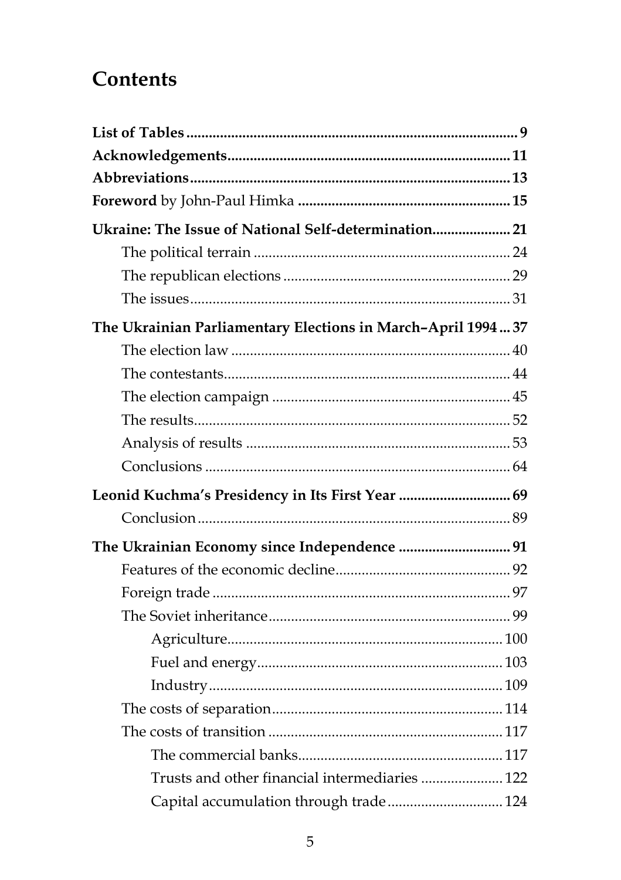## **Contents**

| Ukraine: The Issue of National Self-determination 21        |  |
|-------------------------------------------------------------|--|
|                                                             |  |
|                                                             |  |
|                                                             |  |
| The Ukrainian Parliamentary Elections in March-April 199437 |  |
|                                                             |  |
|                                                             |  |
|                                                             |  |
|                                                             |  |
|                                                             |  |
|                                                             |  |
| Leonid Kuchma's Presidency in Its First Year  69            |  |
|                                                             |  |
| The Ukrainian Economy since Independence  91                |  |
|                                                             |  |
|                                                             |  |
|                                                             |  |
|                                                             |  |
|                                                             |  |
|                                                             |  |
|                                                             |  |
|                                                             |  |
|                                                             |  |
| Trusts and other financial intermediaries  122              |  |
| Capital accumulation through trade 124                      |  |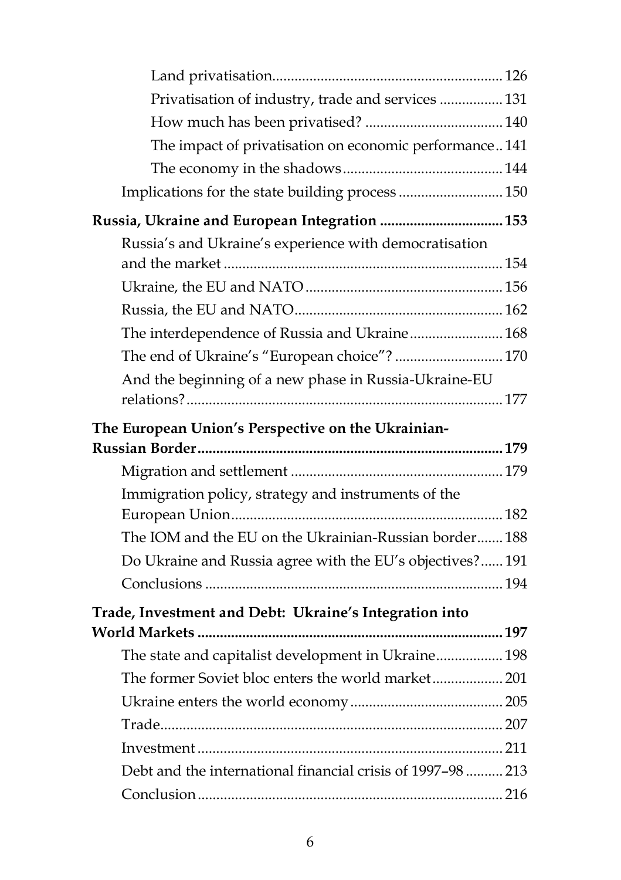| Privatisation of industry, trade and services  131          |  |
|-------------------------------------------------------------|--|
|                                                             |  |
| The impact of privatisation on economic performance141      |  |
|                                                             |  |
| Implications for the state building process  150            |  |
| Russia, Ukraine and European Integration  153               |  |
| Russia's and Ukraine's experience with democratisation      |  |
|                                                             |  |
|                                                             |  |
|                                                             |  |
| The interdependence of Russia and Ukraine 168               |  |
| The end of Ukraine's "European choice"?  170                |  |
| And the beginning of a new phase in Russia-Ukraine-EU       |  |
|                                                             |  |
| The European Union's Perspective on the Ukrainian-          |  |
|                                                             |  |
|                                                             |  |
|                                                             |  |
| Immigration policy, strategy and instruments of the         |  |
|                                                             |  |
| The IOM and the EU on the Ukrainian-Russian border 188      |  |
| Do Ukraine and Russia agree with the EU's objectives?191    |  |
|                                                             |  |
|                                                             |  |
| Trade, Investment and Debt: Ukraine's Integration into      |  |
| The state and capitalist development in Ukraine 198         |  |
| The former Soviet bloc enters the world market 201          |  |
|                                                             |  |
|                                                             |  |
|                                                             |  |
| Debt and the international financial crisis of 1997-98  213 |  |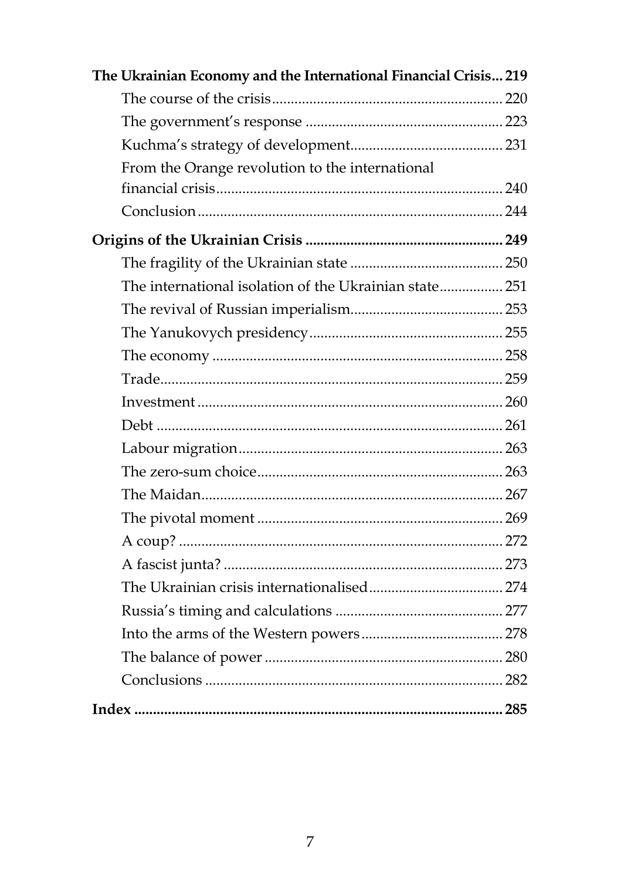| The Ukrainian Economy and the International Financial Crisis 219 |  |
|------------------------------------------------------------------|--|
|                                                                  |  |
|                                                                  |  |
|                                                                  |  |
| From the Orange revolution to the international                  |  |
|                                                                  |  |
|                                                                  |  |
|                                                                  |  |
|                                                                  |  |
| The international isolation of the Ukrainian state 251           |  |
|                                                                  |  |
|                                                                  |  |
|                                                                  |  |
|                                                                  |  |
|                                                                  |  |
|                                                                  |  |
|                                                                  |  |
|                                                                  |  |
|                                                                  |  |
|                                                                  |  |
|                                                                  |  |
|                                                                  |  |
|                                                                  |  |
|                                                                  |  |
|                                                                  |  |
|                                                                  |  |
|                                                                  |  |
|                                                                  |  |